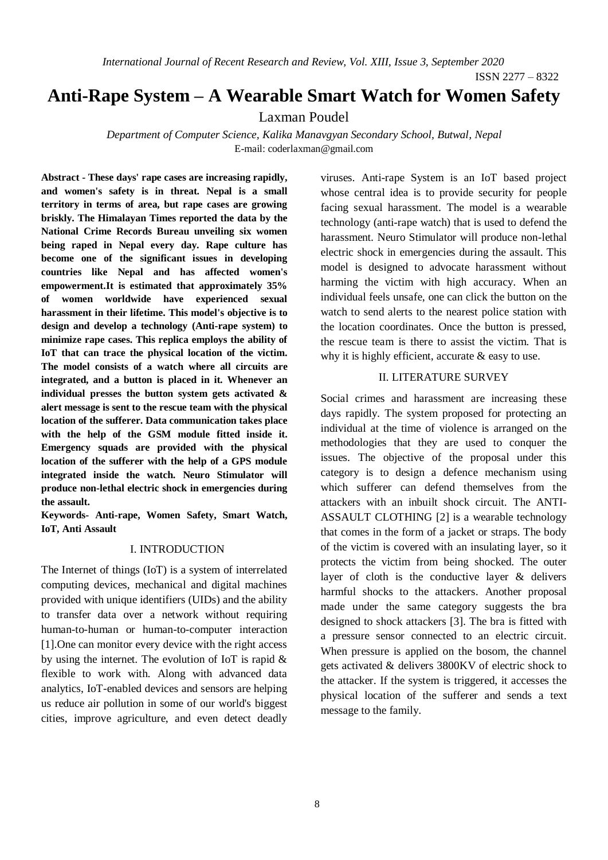*International Journal of Recent Research and Review, Vol. XIII, Issue 3, September 2020*

ISSN 2277 – 8322

# **Anti-Rape System – A Wearable Smart Watch for Women Safety**

Laxman Poudel

*Department of Computer Science, Kalika Manavgyan Secondary School, Butwal, Nepal* E-mail: coderlaxman@gmail.com

**Abstract - These days' rape cases are increasing rapidly, and women's safety is in threat. Nepal is a small territory in terms of area, but rape cases are growing briskly. The Himalayan Times reported the data by the National Crime Records Bureau unveiling six women being raped in Nepal every day. Rape culture has become one of the significant issues in developing countries like Nepal and has affected women's empowerment.It is estimated that approximately 35% of women worldwide have experienced sexual harassment in their lifetime. This model's objective is to design and develop a technology (Anti-rape system) to minimize rape cases. This replica employs the ability of IoT that can trace the physical location of the victim. The model consists of a watch where all circuits are integrated, and a button is placed in it. Whenever an individual presses the button system gets activated & alert message is sent to the rescue team with the physical location of the sufferer. Data communication takes place with the help of the GSM module fitted inside it. Emergency squads are provided with the physical location of the sufferer with the help of a GPS module integrated inside the watch. Neuro Stimulator will produce non-lethal electric shock in emergencies during the assault.**

**Keywords- Anti-rape, Women Safety, Smart Watch, IoT, Anti Assault**

### I. INTRODUCTION

The Internet of things (IoT) is a system of interrelated computing devices, mechanical and digital machines provided with unique identifiers (UIDs) and the ability to transfer data over a network without requiring human-to-human or human-to-computer interaction [1].One can monitor every device with the right access by using the internet. The evolution of IoT is rapid & flexible to work with. Along with advanced data analytics, IoT-enabled devices and sensors are helping us reduce air pollution in some of our world's biggest cities, improve agriculture, and even detect deadly

viruses. Anti-rape System is an IoT based project whose central idea is to provide security for people facing sexual harassment. The model is a wearable technology (anti-rape watch) that is used to defend the harassment. Neuro Stimulator will produce non-lethal electric shock in emergencies during the assault. This model is designed to advocate harassment without harming the victim with high accuracy. When an individual feels unsafe, one can click the button on the watch to send alerts to the nearest police station with the location coordinates. Once the button is pressed, the rescue team is there to assist the victim. That is why it is highly efficient, accurate & easy to use.

# II. LITERATURE SURVEY

Social crimes and harassment are increasing these days rapidly. The system proposed for protecting an individual at the time of violence is arranged on the methodologies that they are used to conquer the issues. The objective of the proposal under this category is to design a defence mechanism using which sufferer can defend themselves from the attackers with an inbuilt shock circuit. The ANTI-ASSAULT CLOTHING [2] is a wearable technology that comes in the form of a jacket or straps. The body of the victim is covered with an insulating layer, so it protects the victim from being shocked. The outer layer of cloth is the conductive layer & delivers harmful shocks to the attackers. Another proposal made under the same category suggests the bra designed to shock attackers [3]. The bra is fitted with a pressure sensor connected to an electric circuit. When pressure is applied on the bosom, the channel gets activated & delivers 3800KV of electric shock to the attacker. If the system is triggered, it accesses the physical location of the sufferer and sends a text message to the family.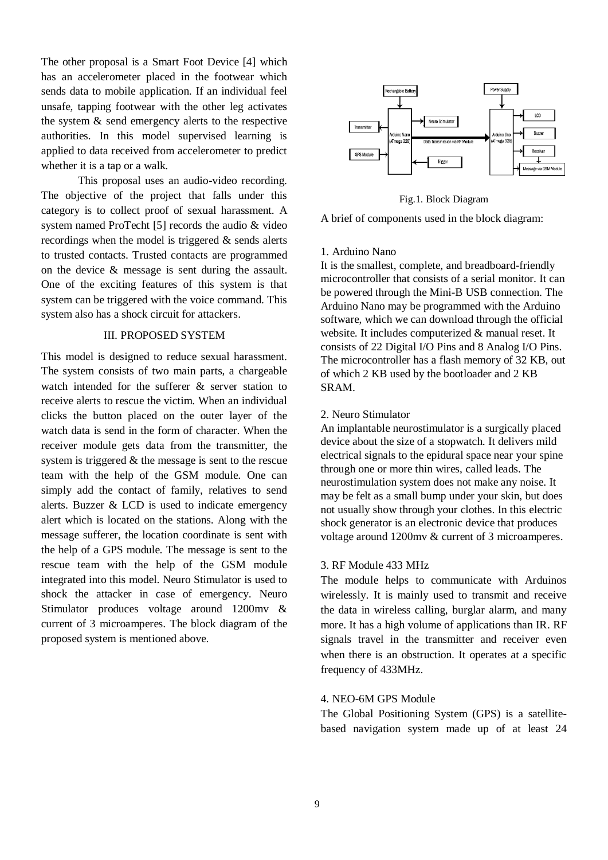The other proposal is a Smart Foot Device [4] which has an accelerometer placed in the footwear which sends data to mobile application. If an individual feel unsafe, tapping footwear with the other leg activates the system & send emergency alerts to the respective authorities. In this model supervised learning is applied to data received from accelerometer to predict whether it is a tap or a walk.

This proposal uses an audio-video recording. The objective of the project that falls under this category is to collect proof of sexual harassment. A system named ProTecht [5] records the audio & video recordings when the model is triggered & sends alerts to trusted contacts. Trusted contacts are programmed on the device & message is sent during the assault. One of the exciting features of this system is that system can be triggered with the voice command. This system also has a shock circuit for attackers.

#### III. PROPOSED SYSTEM

This model is designed to reduce sexual harassment. The system consists of two main parts, a chargeable watch intended for the sufferer & server station to receive alerts to rescue the victim. When an individual clicks the button placed on the outer layer of the watch data is send in the form of character. When the receiver module gets data from the transmitter, the system is triggered & the message is sent to the rescue team with the help of the GSM module. One can simply add the contact of family, relatives to send alerts. Buzzer & LCD is used to indicate emergency alert which is located on the stations. Along with the message sufferer, the location coordinate is sent with the help of a GPS module. The message is sent to the rescue team with the help of the GSM module integrated into this model. Neuro Stimulator is used to shock the attacker in case of emergency. Neuro Stimulator produces voltage around 1200mv & current of 3 microamperes. The block diagram of the proposed system is mentioned above.



Fig.1. Block Diagram

A brief of components used in the block diagram:

#### 1. Arduino Nano

It is the smallest, complete, and breadboard-friendly microcontroller that consists of a serial monitor. It can be powered through the Mini-B USB connection. The Arduino Nano may be programmed with the Arduino software, which we can download through the official website. It includes computerized & manual reset. It consists of 22 Digital I/O Pins and 8 Analog I/O Pins. The microcontroller has a flash memory of 32 KB, out of which 2 KB used by the bootloader and 2 KB SRAM.

#### 2. Neuro Stimulator

An implantable neurostimulator is a surgically placed device about the size of a stopwatch. It delivers mild electrical signals to the epidural space near your spine through one or more thin wires, called leads. The neurostimulation system does not make any noise. It may be felt as a small bump under your skin, but does not usually show through your clothes. In this electric shock generator is an electronic device that produces voltage around 1200mv & current of 3 microamperes.

# 3. RF Module 433 MHz

The module helps to communicate with Arduinos wirelessly. It is mainly used to transmit and receive the data in wireless calling, burglar alarm, and many more. It has a high volume of applications than IR. RF signals travel in the transmitter and receiver even when there is an obstruction. It operates at a specific frequency of 433MHz.

# 4. NEO-6M GPS Module

The Global Positioning System (GPS) is a satellitebased navigation system made up of at least 24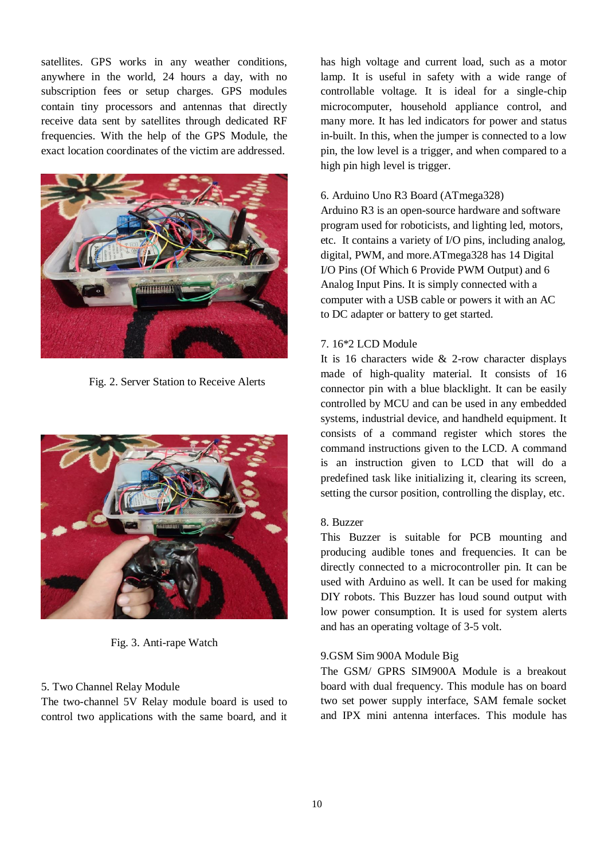satellites. GPS works in any weather conditions, anywhere in the world, 24 hours a day, with no subscription fees or setup charges. GPS modules contain tiny processors and antennas that directly receive data sent by satellites through dedicated RF frequencies. With the help of the GPS Module, the exact location coordinates of the victim are addressed.



Fig. 2. Server Station to Receive Alerts



Fig. 3. Anti-rape Watch

# 5. Two Channel Relay Module

The two-channel 5V Relay module board is used to control two applications with the same board, and it has high voltage and current load, such as a motor lamp. It is useful in safety with a wide range of controllable voltage. It is ideal for a single-chip microcomputer, household appliance control, and many more. It has led indicators for power and status in-built. In this, when the jumper is connected to a low pin, the low level is a trigger, and when compared to a high pin high level is trigger.

# 6. Arduino Uno R3 Board (ATmega328)

Arduino R3 is an open-source hardware and software program used for roboticists, and lighting led, motors, etc. It contains a variety of I/O pins, including analog, digital, PWM, and more.ATmega328 has 14 Digital I/O Pins (Of Which 6 Provide PWM Output) and 6 Analog Input Pins. It is simply connected with a computer with a USB cable or powers it with an AC to DC adapter or battery to get started.

# 7. 16\*2 LCD Module

It is 16 characters wide & 2-row character displays made of high-quality material. It consists of 16 connector pin with a blue blacklight. It can be easily controlled by MCU and can be used in any embedded systems, industrial device, and handheld equipment. It consists of a command register which stores the command instructions given to the LCD. A command is an instruction given to LCD that will do a predefined task like initializing it, clearing its screen, setting the cursor position, controlling the display, etc.

# 8. Buzzer

This Buzzer is suitable for PCB mounting and producing audible tones and frequencies. It can be directly connected to a microcontroller pin. It can be used with Arduino as well. It can be used for making DIY robots. This Buzzer has loud sound output with low power consumption. It is used for system alerts and has an operating voltage of 3-5 volt.

# 9.GSM Sim 900A Module Big

The GSM/ GPRS SIM900A Module is a breakout board with dual frequency. This module has on board two set power supply interface, SAM female socket and IPX mini antenna interfaces. This module has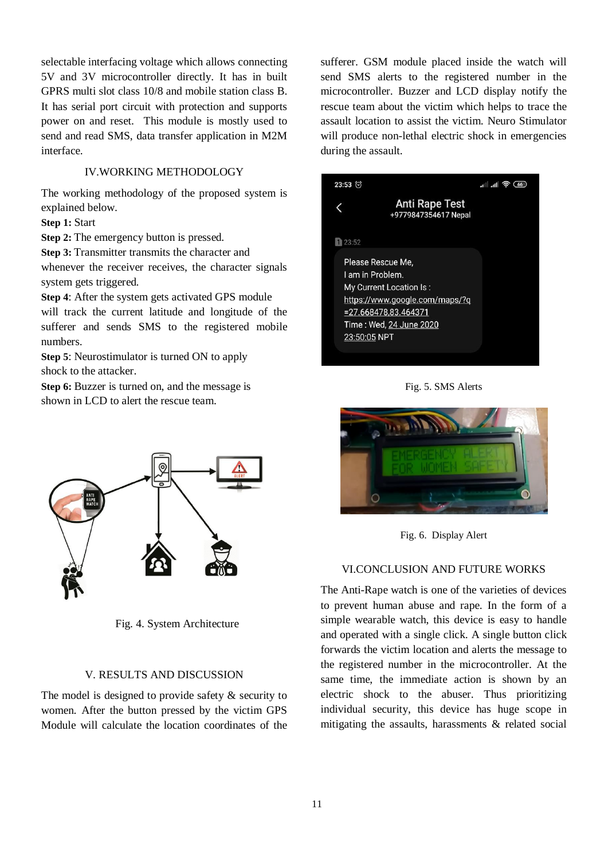selectable interfacing voltage which allows connecting 5V and 3V microcontroller directly. It has in built GPRS multi slot class 10/8 and mobile station class B. It has serial port circuit with protection and supports power on and reset. This module is mostly used to send and read SMS, data transfer application in M2M interface.

### IV.WORKING METHODOLOGY

The working methodology of the proposed system is explained below.

**Step 1:** Start

**Step 2:** The emergency button is pressed.

**Step 3:** Transmitter transmits the character and

whenever the receiver receives, the character signals system gets triggered.

**Step 4**: After the system gets activated GPS module will track the current latitude and longitude of the sufferer and sends SMS to the registered mobile numbers.

**Step 5**: Neurostimulator is turned ON to apply shock to the attacker.

**Step 6:** Buzzer is turned on, and the message is shown in LCD to alert the rescue team.



Fig. 4. System Architecture

#### V. RESULTS AND DISCUSSION

The model is designed to provide safety & security to women. After the button pressed by the victim GPS Module will calculate the location coordinates of the sufferer. GSM module placed inside the watch will send SMS alerts to the registered number in the microcontroller. Buzzer and LCD display notify the rescue team about the victim which helps to trace the assault location to assist the victim. Neuro Stimulator will produce non-lethal electric shock in emergencies during the assault.

| $23:53$ $\circ$ |                                                                                                                                                           | ி⊪. ⊪.<br>66 |
|-----------------|-----------------------------------------------------------------------------------------------------------------------------------------------------------|--------------|
|                 | <b>Anti Rape Test</b><br>+9779847354617 Nepal                                                                                                             |              |
| 23:52           |                                                                                                                                                           |              |
| 23:50:05 NPT    | Please Rescue Me.<br>I am in Problem.<br>My Current Location Is:<br>https://www.google.com/maps/?g<br>$= 27.668478.83.464371$<br>Time : Wed, 24 June 2020 |              |

Fig. 5. SMS Alerts



Fig. 6. Display Alert

#### VI.CONCLUSION AND FUTURE WORKS

The Anti-Rape watch is one of the varieties of devices to prevent human abuse and rape. In the form of a simple wearable watch, this device is easy to handle and operated with a single click. A single button click forwards the victim location and alerts the message to the registered number in the microcontroller. At the same time, the immediate action is shown by an electric shock to the abuser. Thus prioritizing individual security, this device has huge scope in mitigating the assaults, harassments & related social